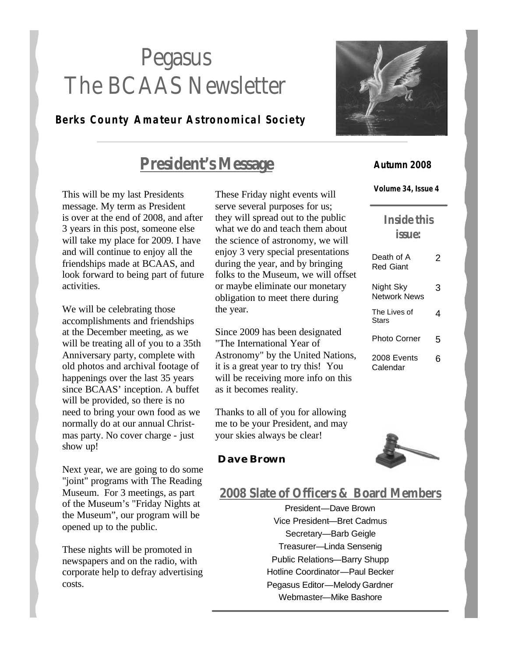# Pegasus The BCAAS Newsletter

### **Berks County Amateur Astronomical Society**

## **President's Message**

This will be my last Presidents message. My term as President is over at the end of 2008, and after 3 years in this post, someone else will take my place for 2009. I have and will continue to enjoy all the friendships made at BCAAS, and look forward to being part of future activities.

We will be celebrating those accomplishments and friendships at the December meeting, as we will be treating all of you to a 35th Anniversary party, complete with old photos and archival footage of happenings over the last 35 years since BCAAS' inception. A buffet will be provided, so there is no need to bring your own food as we normally do at our annual Christmas party. No cover charge - just show up!

Next year, we are going to do some "joint" programs with The Reading Museum. For 3 meetings, as part of the Museum's "Friday Nights at the Museum", our program will be opened up to the public.

These nights will be promoted in newspapers and on the radio, with corporate help to defray advertising costs.

These Friday night events will serve several purposes for us; they will spread out to the public what we do and teach them about the science of astronomy, we will enjoy 3 very special presentations during the year, and by bringing folks to the Museum, we will offset or maybe eliminate our monetary obligation to meet there during the year.

Since 2009 has been designated "The International Year of Astronomy" by the United Nations, it is a great year to try this! You will be receiving more info on this as it becomes reality.

Thanks to all of you for allowing me to be your President, and may your skies always be clear!

#### **Dave Brown**

### **2008 Slate of Officers & Board Members**

President—Dave Brown Vice President—Bret Cadmus Secretary—Barb Geigle Treasurer—Linda Sensenig Public Relations—Barry Shupp Hotline Coordinator—Paul Becker Pegasus Editor—Melody Gardner Webmaster—Mike Bashore



#### **Autumn 2008**

**Volume 34, Issue 4**

### **Inside this issue:**

| Death of A<br>Red Giant   | 2 |
|---------------------------|---|
| Night Sky<br>Network News | 3 |
| The Lives of<br>Stars     | 4 |
| Photo Corner              | 5 |
| 2008 Events<br>Calendar   | 6 |

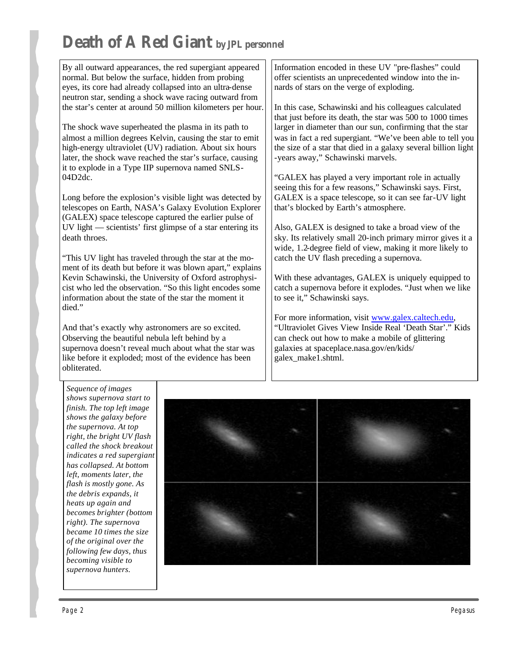# **Death of A Red Giant by JPL personnel**

By all outward appearances, the red supergiant appeared normal. But below the surface, hidden from probing eyes, its core had already collapsed into an ultra-dense neutron star, sending a shock wave racing outward from the star's center at around 50 million kilometers per hour.

The shock wave superheated the plasma in its path to almost a million degrees Kelvin, causing the star to emit high-energy ultraviolet (UV) radiation. About six hours later, the shock wave reached the star's surface, causing it to explode in a Type IIP supernova named SNLS-04D2dc.

Long before the explosion's visible light was detected by telescopes on Earth, NASA's Galaxy Evolution Explorer (GALEX) space telescope captured the earlier pulse of UV light — scientists' first glimpse of a star entering its death throes.

"This UV light has traveled through the star at the moment of its death but before it was blown apart," explains Kevin Schawinski, the University of Oxford astrophysicist who led the observation. "So this light encodes some information about the state of the star the moment it died."

And that's exactly why astronomers are so excited. Observing the beautiful nebula left behind by a supernova doesn't reveal much about what the star was like before it exploded; most of the evidence has been obliterated.

Information encoded in these UV "pre-flashes" could offer scientists an unprecedented window into the innards of stars on the verge of exploding.

In this case, Schawinski and his colleagues calculated that just before its death, the star was 500 to 1000 times larger in diameter than our sun, confirming that the star was in fact a red supergiant. "We've been able to tell you the size of a star that died in a galaxy several billion light -years away," Schawinski marvels.

"GALEX has played a very important role in actually seeing this for a few reasons," Schawinski says. First, GALEX is a space telescope, so it can see far-UV light that's blocked by Earth's atmosphere.

Also, GALEX is designed to take a broad view of the sky. Its relatively small 20-inch primary mirror gives it a wide, 1.2-degree field of view, making it more likely to catch the UV flash preceding a supernova.

With these advantages, GALEX is uniquely equipped to catch a supernova before it explodes. "Just when we like to see it," Schawinski says.

For more information, visit www.galex.caltech.edu, "Ultraviolet Gives View Inside Real 'Death Star'." Kids can check out how to make a mobile of glittering galaxies at spaceplace.nasa.gov/en/kids/ galex\_make1.shtml.

*Sequence of images shows supernova start to finish. The top left image shows the galaxy before the supernova. At top right, the bright UV flash called the shock breakout indicates a red supergiant has collapsed. At bottom left, moments later, the flash is mostly gone. As the debris expands, it heats up again and becomes brighter (bottom right). The supernova became 10 times the size of the original over the following few days, thus becoming visible to supernova hunters.*

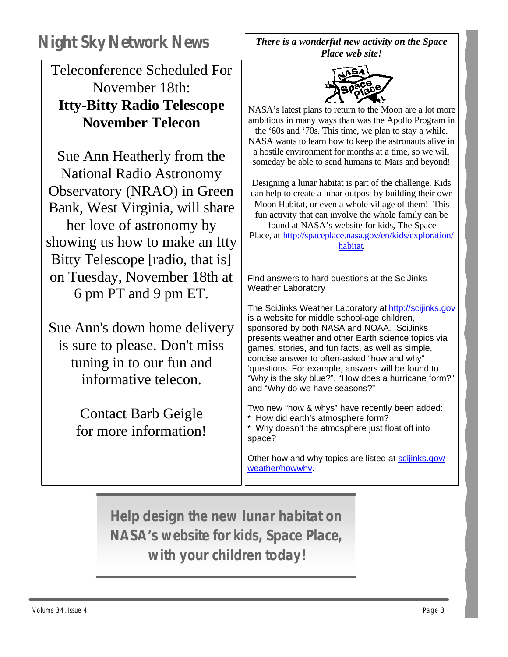Teleconference Scheduled For November 18th: **Itty-Bitty Radio Telescope November Telecon**

Sue Ann Heatherly from the National Radio Astronomy Observatory (NRAO) in Green Bank, West Virginia, will share her love of astronomy by showing us how to make an Itty Bitty Telescope [radio, that is] on Tuesday, November 18th at 6 pm PT and 9 pm ET.

Sue Ann's down home delivery is sure to please. Don't miss tuning in to our fun and informative telecon.

> Contact Barb Geigle for more information!

*There is a wonderful new activity on the Space Place web site!* 



NASA's latest plans to return to the Moon are a lot more ambitious in many ways than was the Apollo Program in the '60s and '70s. This time, we plan to stay a while. NASA wants to learn how to keep the astronauts alive in a hostile environment for months at a time, so we will someday be able to send humans to Mars and beyond!

Designing a lunar habitat is part of the challenge. Kids can help to create a lunar outpost by building their own Moon Habitat, or even a whole village of them! This fun activity that can involve the whole family can be found at NASA's website for kids, The Space Place, at http://spaceplace.nasa.gov/en/kids/exploration/ habitat.

Find answers to hard questions at the SciJinks Weather Laboratory

The SciJinks Weather Laboratory at http://scijinks.gov is a website for middle school-age children, sponsored by both NASA and NOAA. SciJinks presents weather and other Earth science topics via games, stories, and fun facts, as well as simple, concise answer to often-asked "how and why" 'questions. For example, answers will be found to "Why is the sky blue?", "How does a hurricane form?" and "Why do we have seasons?"

Two new "how & whys" have recently been added: \* How did earth's atmosphere form? \* Why doesn't the atmosphere just float off into space?

Other how and why topics are listed at scijinks.gov/ weather/howwhy.

**Help design the new lunar habitat on NASA's website for kids, Space Place, with your children today!**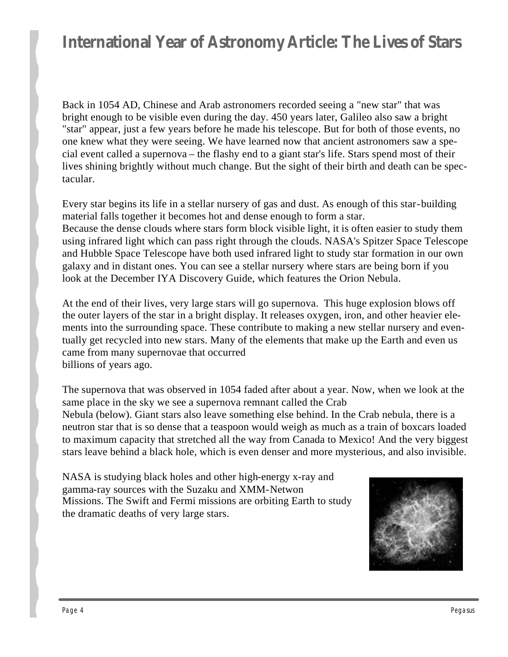## **International Year of Astronomy Article: The Lives of Stars**

Back in 1054 AD, Chinese and Arab astronomers recorded seeing a "new star" that was bright enough to be visible even during the day. 450 years later, Galileo also saw a bright "star" appear, just a few years before he made his telescope. But for both of those events, no one knew what they were seeing. We have learned now that ancient astronomers saw a special event called a supernova – the flashy end to a giant star's life. Stars spend most of their lives shining brightly without much change. But the sight of their birth and death can be spectacular.

Every star begins its life in a stellar nursery of gas and dust. As enough of this star-building material falls together it becomes hot and dense enough to form a star. Because the dense clouds where stars form block visible light, it is often easier to study them using infrared light which can pass right through the clouds. NASA's Spitzer Space Telescope and Hubble Space Telescope have both used infrared light to study star formation in our own galaxy and in distant ones. You can see a stellar nursery where stars are being born if you look at the December IYA Discovery Guide, which features the Orion Nebula.

At the end of their lives, very large stars will go supernova. This huge explosion blows off the outer layers of the star in a bright display. It releases oxygen, iron, and other heavier elements into the surrounding space. These contribute to making a new stellar nursery and eventually get recycled into new stars. Many of the elements that make up the Earth and even us came from many supernovae that occurred billions of years ago.

The supernova that was observed in 1054 faded after about a year. Now, when we look at the same place in the sky we see a supernova remnant called the Crab Nebula (below). Giant stars also leave something else behind. In the Crab nebula, there is a neutron star that is so dense that a teaspoon would weigh as much as a train of boxcars loaded to maximum capacity that stretched all the way from Canada to Mexico! And the very biggest stars leave behind a black hole, which is even denser and more mysterious, and also invisible.

NASA is studying black holes and other high-energy x-ray and gamma-ray sources with the Suzaku and XMM-Netwon Missions. The Swift and Fermi missions are orbiting Earth to study the dramatic deaths of very large stars.

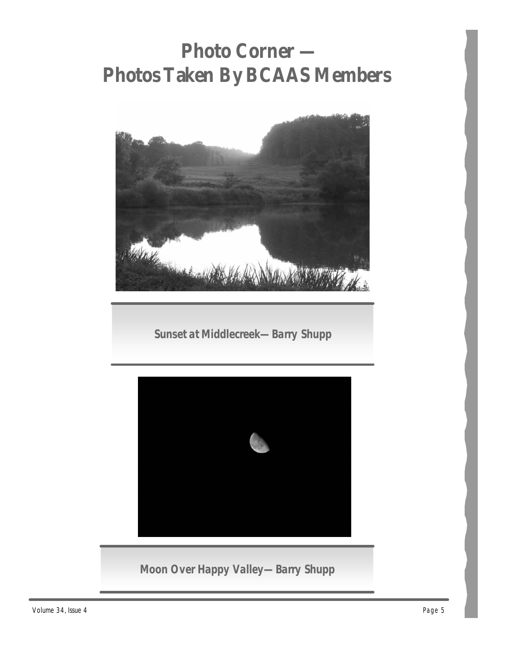# **Photo Corner — Photos Taken By BCAAS Members**



**Sunset at Middlecreek—Barry Shupp**



**Moon Over Happy Valley—Barry Shupp**